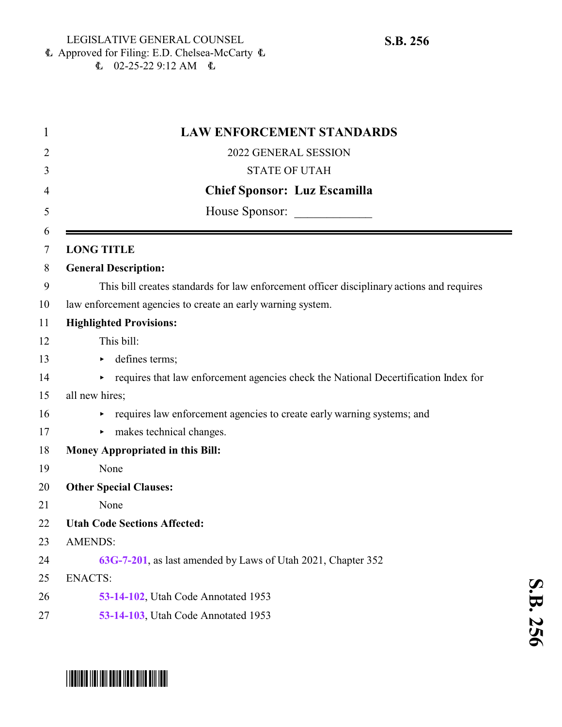**S.B.**

 <u>ហ</u> 

 Approved for Filing: E.D. Chelsea-McCarty 6  $\text{L}$  02-25-22 9:12 AM  $\text{L}$ 

| 1              | <b>LAW ENFORCEMENT STANDARDS</b>                                                          |
|----------------|-------------------------------------------------------------------------------------------|
| $\overline{2}$ | 2022 GENERAL SESSION                                                                      |
| 3              | <b>STATE OF UTAH</b>                                                                      |
| 4              | <b>Chief Sponsor: Luz Escamilla</b>                                                       |
| 5              | House Sponsor:                                                                            |
| 6<br>7         | <b>LONG TITLE</b>                                                                         |
| 8              | <b>General Description:</b>                                                               |
| 9              | This bill creates standards for law enforcement officer disciplinary actions and requires |
| 10             | law enforcement agencies to create an early warning system.                               |
| 11             | <b>Highlighted Provisions:</b>                                                            |
| 12             | This bill:                                                                                |
| 13             | defines terms;<br>►                                                                       |
| 14             | requires that law enforcement agencies check the National Decertification Index for       |
| 15             | all new hires;                                                                            |
| 16             | requires law enforcement agencies to create early warning systems; and                    |
| 17             | makes technical changes.                                                                  |
| 18             | <b>Money Appropriated in this Bill:</b>                                                   |
| 19             | None                                                                                      |
| 20             | <b>Other Special Clauses:</b>                                                             |
| 21             | None                                                                                      |
| 22             | <b>Utah Code Sections Affected:</b>                                                       |
| 23             | <b>AMENDS:</b>                                                                            |
| 24             | 63G-7-201, as last amended by Laws of Utah 2021, Chapter 352                              |
| 25             | <b>ENACTS:</b>                                                                            |
| 26             | 53-14-102, Utah Code Annotated 1953                                                       |
| 27             | 53-14-103, Utah Code Annotated 1953                                                       |
|                |                                                                                           |

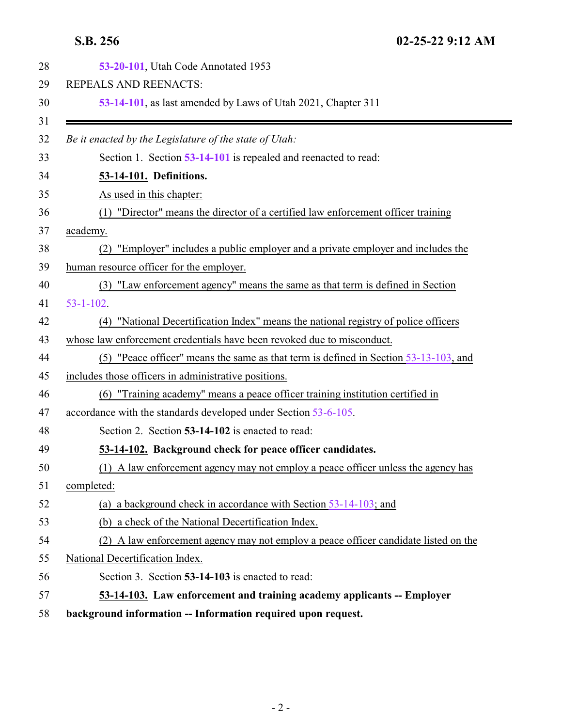<span id="page-1-1"></span><span id="page-1-0"></span>

| 53-20-101, Utah Code Annotated 1953                                                     |
|-----------------------------------------------------------------------------------------|
| REPEALS AND REENACTS:                                                                   |
| 53-14-101, as last amended by Laws of Utah 2021, Chapter 311                            |
|                                                                                         |
| Be it enacted by the Legislature of the state of Utah:                                  |
| Section 1. Section 53-14-101 is repealed and reenacted to read:                         |
| 53-14-101. Definitions.                                                                 |
| As used in this chapter:                                                                |
| "Director" means the director of a certified law enforcement officer training<br>(1)    |
| academy.                                                                                |
| "Employer" includes a public employer and a private employer and includes the<br>(2)    |
| human resource officer for the employer.                                                |
| (3) "Law enforcement agency" means the same as that term is defined in Section          |
| $53 - 1 - 102$ .                                                                        |
| (4) "National Decertification Index" means the national registry of police officers     |
| whose law enforcement credentials have been revoked due to misconduct.                  |
| (5) "Peace officer" means the same as that term is defined in Section $53-13-103$ , and |
| includes those officers in administrative positions.                                    |
| (6) "Training academy" means a peace officer training institution certified in          |
| accordance with the standards developed under Section 53-6-105.                         |
| Section 2. Section 53-14-102 is enacted to read:                                        |
| 53-14-102. Background check for peace officer candidates.                               |
| (1) A law enforcement agency may not employ a peace officer unless the agency has       |
| completed:                                                                              |
| (a) a background check in accordance with Section $53-14-103$ ; and                     |
| (b) a check of the National Decertification Index.                                      |
| (2) A law enforcement agency may not employ a peace officer candidate listed on the     |
| National Decertification Index.                                                         |
| Section 3. Section 53-14-103 is enacted to read:                                        |
| 53-14-103. Law enforcement and training academy applicants -- Employer                  |
| background information -- Information required upon request.                            |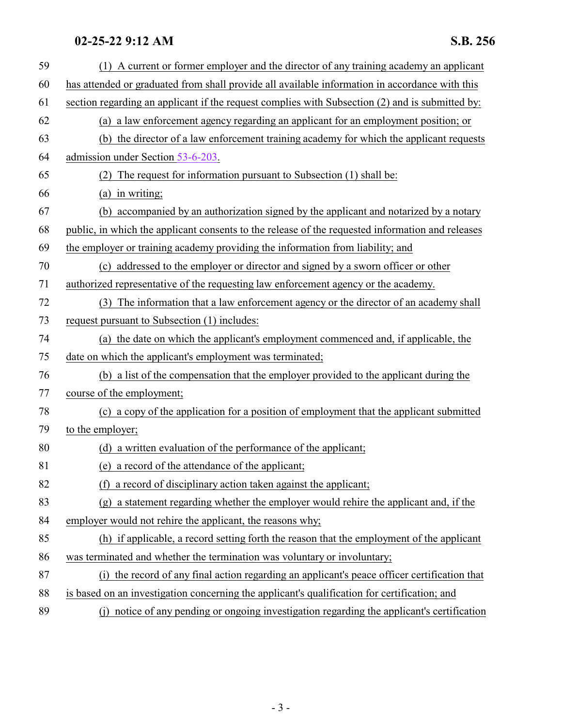### **02-25-22 9:12 AM S.B. 256**

| 59 | (1) A current or former employer and the director of any training academy an applicant           |
|----|--------------------------------------------------------------------------------------------------|
| 60 | has attended or graduated from shall provide all available information in accordance with this   |
| 61 | section regarding an applicant if the request complies with Subsection (2) and is submitted by:  |
| 62 | (a) a law enforcement agency regarding an applicant for an employment position; or               |
| 63 | (b) the director of a law enforcement training academy for which the applicant requests          |
| 64 | admission under Section 53-6-203.                                                                |
| 65 | (2) The request for information pursuant to Subsection (1) shall be:                             |
| 66 | (a) in writing;                                                                                  |
| 67 | (b) accompanied by an authorization signed by the applicant and notarized by a notary            |
| 68 | public, in which the applicant consents to the release of the requested information and releases |
| 69 | the employer or training academy providing the information from liability; and                   |
| 70 | (c) addressed to the employer or director and signed by a sworn officer or other                 |
| 71 | authorized representative of the requesting law enforcement agency or the academy.               |
| 72 | (3) The information that a law enforcement agency or the director of an academy shall            |
| 73 | request pursuant to Subsection (1) includes:                                                     |
| 74 | (a) the date on which the applicant's employment commenced and, if applicable, the               |
| 75 | date on which the applicant's employment was terminated;                                         |
| 76 | (b) a list of the compensation that the employer provided to the applicant during the            |
| 77 | course of the employment;                                                                        |
| 78 | (c) a copy of the application for a position of employment that the applicant submitted          |
| 79 | to the employer;                                                                                 |
| 80 | (d) a written evaluation of the performance of the applicant;                                    |
| 81 | (e) a record of the attendance of the applicant;                                                 |
| 82 | a record of disciplinary action taken against the applicant;<br>(f)                              |
| 83 | (g) a statement regarding whether the employer would rehire the applicant and, if the            |
| 84 | employer would not rehire the applicant, the reasons why;                                        |
| 85 | (h) if applicable, a record setting forth the reason that the employment of the applicant        |
| 86 | was terminated and whether the termination was voluntary or involuntary;                         |
| 87 | (i) the record of any final action regarding an applicant's peace officer certification that     |
| 88 | is based on an investigation concerning the applicant's qualification for certification; and     |
| 89 | (j) notice of any pending or ongoing investigation regarding the applicant's certification       |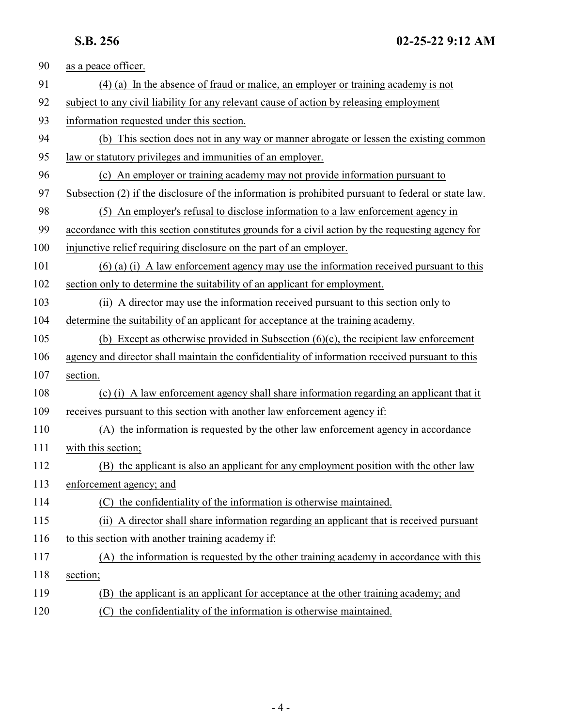| 90  | as a peace officer.                                                                                 |
|-----|-----------------------------------------------------------------------------------------------------|
| 91  | (4) (a) In the absence of fraud or malice, an employer or training academy is not                   |
| 92  | subject to any civil liability for any relevant cause of action by releasing employment             |
| 93  | information requested under this section.                                                           |
| 94  | (b) This section does not in any way or manner abrogate or lessen the existing common               |
| 95  | law or statutory privileges and immunities of an employer.                                          |
| 96  | (c) An employer or training academy may not provide information pursuant to                         |
| 97  | Subsection (2) if the disclosure of the information is prohibited pursuant to federal or state law. |
| 98  | (5) An employer's refusal to disclose information to a law enforcement agency in                    |
| 99  | accordance with this section constitutes grounds for a civil action by the requesting agency for    |
| 100 | injunctive relief requiring disclosure on the part of an employer.                                  |
| 101 | $(6)$ (a) (i) A law enforcement agency may use the information received pursuant to this            |
| 102 | section only to determine the suitability of an applicant for employment.                           |
| 103 | (ii) A director may use the information received pursuant to this section only to                   |
| 104 | determine the suitability of an applicant for acceptance at the training academy.                   |
| 105 | (b) Except as otherwise provided in Subsection $(6)(c)$ , the recipient law enforcement             |
| 106 | agency and director shall maintain the confidentiality of information received pursuant to this     |
| 107 | section.                                                                                            |
| 108 | (c) (i) A law enforcement agency shall share information regarding an applicant that it             |
| 109 | receives pursuant to this section with another law enforcement agency if:                           |
| 110 | (A) the information is requested by the other law enforcement agency in accordance                  |
| 111 | with this section;                                                                                  |
| 112 | (B) the applicant is also an applicant for any employment position with the other law               |
| 113 | enforcement agency; and                                                                             |
| 114 | (C) the confidentiality of the information is otherwise maintained.                                 |
| 115 | A director shall share information regarding an applicant that is received pursuant<br>(ii)         |
| 116 | to this section with another training academy if:                                                   |
| 117 | (A) the information is requested by the other training academy in accordance with this              |
| 118 | section;                                                                                            |
| 119 | the applicant is an applicant for acceptance at the other training academy; and<br>(B)              |
| 120 | (C) the confidentiality of the information is otherwise maintained.                                 |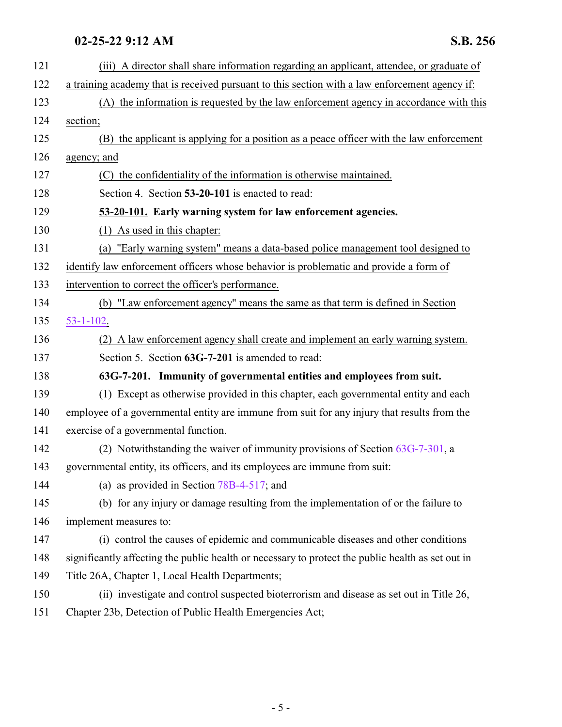# <span id="page-4-1"></span><span id="page-4-0"></span>**02-25-22 9:12 AM S.B. 256**

| 121 | (iii) A director shall share information regarding an applicant, attendee, or graduate of         |
|-----|---------------------------------------------------------------------------------------------------|
|     |                                                                                                   |
| 122 | a training academy that is received pursuant to this section with a law enforcement agency if:    |
| 123 | (A) the information is requested by the law enforcement agency in accordance with this            |
| 124 | section;                                                                                          |
| 125 | (B) the applicant is applying for a position as a peace officer with the law enforcement          |
| 126 | agency; and                                                                                       |
| 127 | (C) the confidentiality of the information is otherwise maintained.                               |
| 128 | Section 4. Section 53-20-101 is enacted to read:                                                  |
| 129 | 53-20-101. Early warning system for law enforcement agencies.                                     |
| 130 | (1) As used in this chapter:                                                                      |
| 131 | (a) "Early warning system" means a data-based police management tool designed to                  |
| 132 | identify law enforcement officers whose behavior is problematic and provide a form of             |
| 133 | intervention to correct the officer's performance.                                                |
| 134 | (b) "Law enforcement agency" means the same as that term is defined in Section                    |
| 135 | $53 - 1 - 102$ .                                                                                  |
| 136 | (2) A law enforcement agency shall create and implement an early warning system.                  |
| 137 | Section 5. Section 63G-7-201 is amended to read:                                                  |
| 138 | 63G-7-201. Immunity of governmental entities and employees from suit.                             |
| 139 | (1) Except as otherwise provided in this chapter, each governmental entity and each               |
| 140 | employee of a governmental entity are immune from suit for any injury that results from the       |
| 141 | exercise of a governmental function.                                                              |
| 142 | (2) Notwithstanding the waiver of immunity provisions of Section $63G-7-301$ , a                  |
| 143 | governmental entity, its officers, and its employees are immune from suit:                        |
| 144 | (a) as provided in Section $78B-4-517$ ; and                                                      |
| 145 | (b) for any injury or damage resulting from the implementation of or the failure to               |
| 146 | implement measures to:                                                                            |
| 147 | (i) control the causes of epidemic and communicable diseases and other conditions                 |
| 148 | significantly affecting the public health or necessary to protect the public health as set out in |
| 149 | Title 26A, Chapter 1, Local Health Departments;                                                   |
| 150 | (ii) investigate and control suspected bioterrorism and disease as set out in Title 26,           |
| 151 | Chapter 23b, Detection of Public Health Emergencies Act;                                          |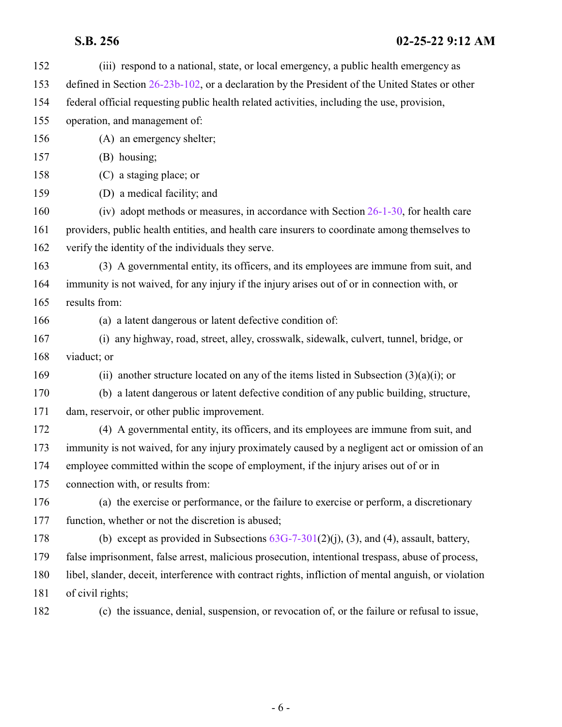| 152 | (iii) respond to a national, state, or local emergency, a public health emergency as                  |
|-----|-------------------------------------------------------------------------------------------------------|
| 153 | defined in Section 26-23b-102, or a declaration by the President of the United States or other        |
| 154 | federal official requesting public health related activities, including the use, provision,           |
| 155 | operation, and management of:                                                                         |
| 156 | (A) an emergency shelter;                                                                             |
| 157 | (B) housing;                                                                                          |
| 158 | (C) a staging place; or                                                                               |
| 159 | (D) a medical facility; and                                                                           |
| 160 | (iv) adopt methods or measures, in accordance with Section 26-1-30, for health care                   |
| 161 | providers, public health entities, and health care insurers to coordinate among themselves to         |
| 162 | verify the identity of the individuals they serve.                                                    |
| 163 | (3) A governmental entity, its officers, and its employees are immune from suit, and                  |
| 164 | immunity is not waived, for any injury if the injury arises out of or in connection with, or          |
| 165 | results from:                                                                                         |
| 166 | (a) a latent dangerous or latent defective condition of:                                              |
| 167 | (i) any highway, road, street, alley, crosswalk, sidewalk, culvert, tunnel, bridge, or                |
| 168 | viaduct; or                                                                                           |
| 169 | (ii) another structure located on any of the items listed in Subsection $(3)(a)(i)$ ; or              |
| 170 | (b) a latent dangerous or latent defective condition of any public building, structure,               |
| 171 | dam, reservoir, or other public improvement.                                                          |
| 172 | (4) A governmental entity, its officers, and its employees are immune from suit, and                  |
| 173 | immunity is not waived, for any injury proximately caused by a negligent act or omission of an        |
| 174 | employee committed within the scope of employment, if the injury arises out of or in                  |
| 175 | connection with, or results from:                                                                     |
| 176 | (a) the exercise or performance, or the failure to exercise or perform, a discretionary               |
| 177 | function, whether or not the discretion is abused;                                                    |
| 178 | (b) except as provided in Subsections $63G-7-301(2)(j)$ , (3), and (4), assault, battery,             |
| 179 | false imprisonment, false arrest, malicious prosecution, intentional trespass, abuse of process,      |
| 180 | libel, slander, deceit, interference with contract rights, infliction of mental anguish, or violation |
| 181 | of civil rights;                                                                                      |
| 182 | (c) the issuance, denial, suspension, or revocation of, or the failure or refusal to issue,           |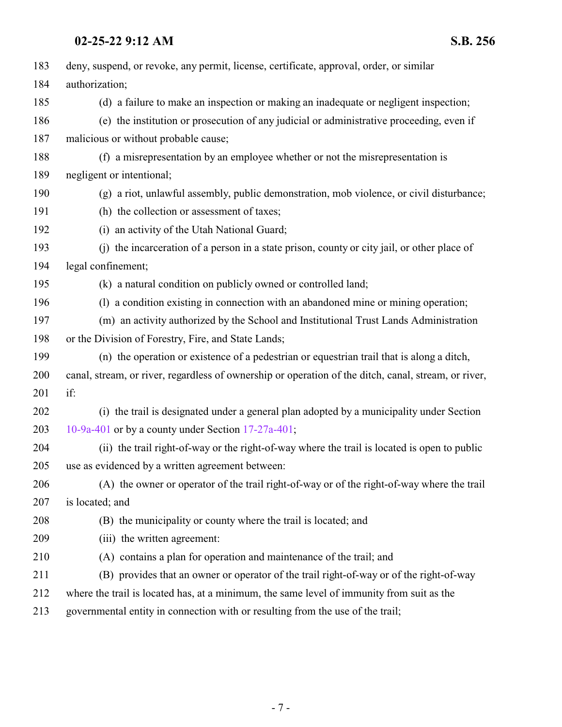### **02-25-22 9:12 AM S.B. 256**

| 183 | deny, suspend, or revoke, any permit, license, certificate, approval, order, or similar              |
|-----|------------------------------------------------------------------------------------------------------|
| 184 | authorization;                                                                                       |
| 185 | (d) a failure to make an inspection or making an inadequate or negligent inspection;                 |
| 186 | (e) the institution or prosecution of any judicial or administrative proceeding, even if             |
| 187 | malicious or without probable cause;                                                                 |
| 188 | (f) a misrepresentation by an employee whether or not the misrepresentation is                       |
| 189 | negligent or intentional;                                                                            |
| 190 | (g) a riot, unlawful assembly, public demonstration, mob violence, or civil disturbance;             |
| 191 | (h) the collection or assessment of taxes;                                                           |
| 192 | (i) an activity of the Utah National Guard;                                                          |
| 193 | (i) the incarceration of a person in a state prison, county or city jail, or other place of          |
| 194 | legal confinement;                                                                                   |
| 195 | (k) a natural condition on publicly owned or controlled land;                                        |
| 196 | (1) a condition existing in connection with an abandoned mine or mining operation;                   |
| 197 | (m) an activity authorized by the School and Institutional Trust Lands Administration                |
| 198 | or the Division of Forestry, Fire, and State Lands;                                                  |
| 199 | (n) the operation or existence of a pedestrian or equestrian trail that is along a ditch,            |
| 200 | canal, stream, or river, regardless of ownership or operation of the ditch, canal, stream, or river, |
| 201 | if:                                                                                                  |
| 202 | (i) the trail is designated under a general plan adopted by a municipality under Section             |
| 203 | 10-9a-401 or by a county under Section $17-27a-401$ ;                                                |
| 204 | (ii) the trail right-of-way or the right-of-way where the trail is located is open to public         |
| 205 | use as evidenced by a written agreement between:                                                     |
| 206 | (A) the owner or operator of the trail right-of-way or of the right-of-way where the trail           |
| 207 | is located; and                                                                                      |
| 208 | (B) the municipality or county where the trail is located; and                                       |
| 209 | (iii) the written agreement:                                                                         |
| 210 | (A) contains a plan for operation and maintenance of the trail; and                                  |
| 211 | (B) provides that an owner or operator of the trail right-of-way or of the right-of-way              |
| 212 | where the trail is located has, at a minimum, the same level of immunity from suit as the            |
| 213 | governmental entity in connection with or resulting from the use of the trail;                       |